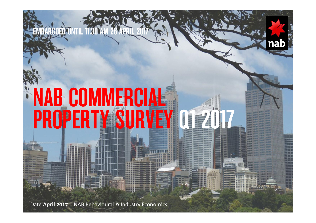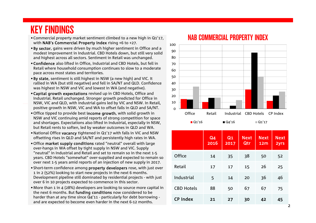## KEY FINDINGS

- •Commercial property market sentiment climbed to a new high in Q1'17, with NAB's Commercial Property Index rising +6 to +27.
- •By sector, gains were driven by much higher sentiment in Office and a modest improvement in Industrial. CBD Hotels down, but still very solid and highest across all sectors. Sentiment in Retail was unchanged.
- •Confidence also lifted in Office, Industrial and CBD Hotels, but fell in Retail where household consumption continues to slow to a moderate pace across most states and territories.
- •By state, sentiment is still highest in NSW (a new high) and VIC. It rallied in WA (but still negative) and fell in SA/NT and QLD. Confidence was highest in NSW and VIC and lowest in WA (and negative).
- •Capital growth expectations revised up in CBD Hotels, Office and Industrial. Retail unchanged. Stronger growth predicted for Office in NSW, VIC and QLD, with Industrial gains led by VIC and NSW. In Retail,
- positive growth in NSW, VIC and WA to offset falls in QLD and SA/NT.
- •Office tipped to provide best income growth, with solid growth in NSW and VIC continuing amid reports of strong competition for space and shortages. Expectations also lifted in Industrial, especially in NSW, but Retail rents to soften, led by weaker outcomes in QLD and WA.
- •National Office vacancy tightened in Q1'17 with falls in VIC and NSW offsetting rises in QLD and SA/NT and persistently high rates in WA.
- •Office market supply conditions rated "neutral" overall with large over-hangs in WA offset by tight supply in NSW and VIC. Supply "neutral" in Industrial and Retail and set to remain so in the next 1-5 years. CBD Hotels "somewhat" over-supplied and expected to remain so over next 1-5 years amid reports of an injection of new supply in 2017.
- •Short-term confidence among property developers rose, with just over 1 in 2 (52%) looking to start new projects in the next 6 months. Development pipeline still dominated by residential projects - with just over 6 in 10 projects expected to commence in this sector.
- •More than 1 in 4 (28%) developers are looking to source more capital in the next 6 months. But funding conditions now considered to be harder than at any time since Q4'11 - particularly for debt borrowing and are expected to become even harder in the next 6-12 months.



#### Q4 2016  $Q<sub>1</sub>$ 2017 **Next** Qtr **Next** 12mNext 2yrs Office 14 35 38 50 52 Retail 17 17 15 26 25 Industrial 5 14 <sup>20</sup> 36 46 CBD Hotels 88 50 67 67 75 CP Index <sup>21</sup> 27 30 42 45

#### NAB COMMERCIAL PROPERTY INDEX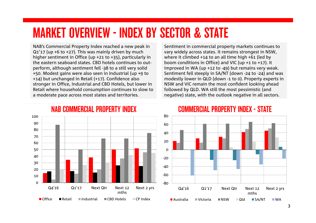# MARKET OVERVIEW - INDEX BY SECTOR & STATE

NAB's Commercial Property Index reached a new peak in Q1'17 (up +6 to +27). This was mainly driven by much higher sentiment in Office (up +21 to +35), particularly in the eastern seaboard states. CBD hotels continues to outperform, although sentiment fell -38 to a still very solid +50. Modest gains were also seen in Industrial (up +9 to +14) but unchanged in Retail (+17). Confidence also stronger in Office, Industrial and CBD Hotels, but lower in Retail where household consumption continues to slow to a moderate pace across most states and territories.

Sentiment in commercial property markets continues to vary widely across states. It remains strongest in NSW, where it climbed +14 to an all time high +61 (led by boom conditions in Office) and VIC (up +1 to +17). It improved in WA (up +12 to -49) but remains very weak. Sentiment fell steeply in SA/NT (down -24 to -24) and was modestly lower in QLD (down -1 to 0). Property experts in NSW and VIC remain the most confident looking ahead followed by QLD. WA still the most pessimistic (and negative) state, with the outlook negative in all sectors.



### NAB COMMERCIAL PROPERTY INDEX

#### COMMERCIAL PROPERTY INDEX - STATE

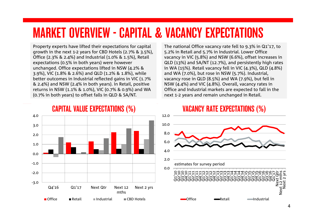# MARKET OVERVIEW - CAPITAL & VACANCY EXPECTATIONS

Property experts have lifted their expectations for capital growth in the next 1-2 years for CBD Hotels (2.7% & 3.5%), Office (2.3% & 2.4%) and Industrial (1.0% & 1.5%), Retail expectations (0.5% in both years) were however unchanged. Office expectations lifted in NSW (4.2% & 3.9%), VIC (1.8% & 2.6%) and QLD (1.2% & 1.8%), while better outcomes in Industrial reflected gains in VIC (1.7%) & 2.4%) and NSW (2.4% in both years). In Retail, positive returns in NSW (1.1% & 1.0%), VIC (0.7% & 0.9%) and WA (0.7% in both years) to offset falls in QLD & SA/NT.

The national Office vacancy rate fell to 9.3% in Q1'17, to 5.2% in Retail and 5.7% in Industrial. Lower Office vacancy in VIC (5.8%) and NSW (6.6%), offset increases in QLD (13%) and SA/NT (12.7%), and persistently high rates in WA (15%). Retail vacancy fell in VIC (4.3%), QLD (4.8%) and WA (7.0%), but rose in NSW (5.7%). Industrial, vacancy rose in QLD (8.5%) and WA (7.9%), but fell in NSW (4.4%) and VIC (4.8%). Overall, vacancy rates in Office and Industrial markets are expected to fall in the next 1-2 years and remain unchanged in Retail.



CAPITAL VALUE EXPECTATIONS (%)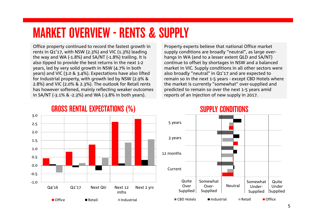# MARKET OVERVIEW - RENTS & SUPPLY

Office property continued to record the fastest growth in rents in Q1'17, with NSW (2.3%) and VIC (1.3%) leading the way and WA (-1.8%) and SA/NT (-1.8%) trailing. It is also tipped to provide the best returns in the next 1-2 years, led by very solid growth in NSW (4.7% in both years) and VIC (3.0 & 3.4%). Expectations have also lifted for Industrial property, with growth led by NSW (2.9% & 2.8%) and VIC (2.0% & 2.3%). The outlook for Retail rents has however softened, mainly reflecting weaker outcomes in SA/NT (-3.1% & -2.3%) and WA (-3.8% in both years).

Property experts believe that national Office market supply conditions are broadly "neutral", as large overhangs in WA (and to a lesser extent QLD and SA/NT) continue to offset by shortages in NSW and a balanced market in VIC. Supply conditions in all other sectors were also broadly "neutral" in Q1'17 and are expected to remain so in the next 1-5 years - except CBD Hotels where the market is currently "somewhat" over-supplied and predicted to remain so over the next 1-5 years amid reports of an injection of new supply in 2017.



### GROSS RENTAL EXPECTATIONS (%)

### SUPPLY CONDITIONS

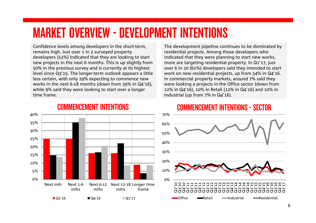# MARKET OVERVIEW - DEVELOPMENT INTENTIONS

Confidence levels among developers in the short-term, remains high. Just over 1 in 2 surveyed property developers (52%) indicated that they are looking to start new projects in the next 6 months. This is up slightly from 50% in the previous survey and is currently at its highest level since Q3'15. The longer-term outlook appears a little less certain, with only 29% expecting to commence new works in the next 6-18 months (down from 39% in Q4'16), while 9% said they were looking to start over a longer time frame.

The development pipeline continues to be dominated by residential projects. Among those developers who indicated that they were planning to start new works, more are targeting residential property. In Q1'17, just over 6 in 10 (61%) developers said they intended to start work on new residential projects, up from 54% in Q4'16. In commercial property markets, around 7% said they were looking a projects in the Office sector (down from 12% in Q4'16), 10% in Retail (12% in Q4'16) and 10% in Industrial (up from 7% in Q4'16).

#### 0%5% 10%15% 20%25% 30% 35% 40% Next mth Next 1-6mthsNext 6-12 Next 12-18 Longer time mthsmthsframe $\blacksquare$  Q1'16  $\blacksquare$  Q1'17

### COMMENCEMENT INTENTIONS

### COMMENCEMENT INTENTIONS - SECTOR

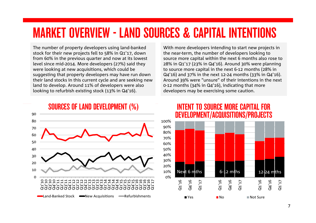# MARKET OVERVIEW - LAND SOURCES & CAPITAL INTENTIONS

The number of property developers using land-banked stock for their new projects fell to 58% in Q1'17, down from 60% in the previous quarter and now at its lowest level since mid-2014. More developers (27%) said they were looking at new acquisitions, which could be suggesting that property developers may have run down their land stocks in this current cycle and are seeking new land to develop. Around 11% of developers were also looking to refurbish existing stock (13% in Q4'16).

With more developers intending to start new projects in the near-term, the number of developers looking to source more capital within the next 6 months also rose to 28% in Q1'17 (23% in Q4'16). Around 30% were planning to source more capital in the next 6-12 months (28% in Q4'16) and 37% in the next 12-24 months (33% in Q4'16). Around 39% were "unsure" of their intentions in the next 0-12 months (34% in Q4'16), indicating that more developers may be exercising some caution.



### SOURCES OF LAND DEVELOPMENT (%)

### INTENT TO SOURCE MORE CAPITAL FOR DEVELOPMENT/ACQUISITIONS/PROJECTS

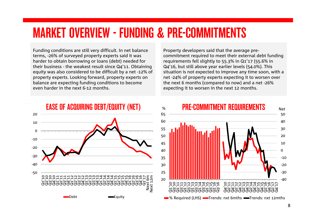# MARKET OVERVIEW - FUNDING & PRE-COMMITMENTS

Funding conditions are still very difficult. In net balance terms, -26% of surveyed property experts said it was harder to obtain borrowing or loans (debt) needed for their business - the weakest result since Q4'11. Obtaining equity was also considered to be difficult by a net -12% of property experts. Looking forward, property experts on balance are expecting funding conditions to become even harder in the next 6-12 months.

Property developers said that the average precommitment required to meet their external debt funding requirements fell slightly to 55.3% in Q1'17 (55.6% in Q4'16, but still above year earlier levels (54.0%). This situation is not expected to improve any time soon, with a net -24% of property experts expecting it to worsen over the next 6 months (compared to now) and a net -26% expecting it to worsen in the next 12 months.



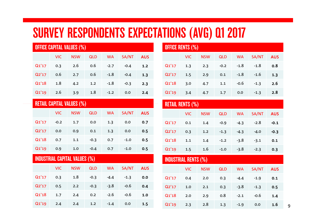# SURVEY RESPONDENTS EXPECTATIONS (AVG) Q1 2017

| <b>OFFICE CAPITAL VALUES (%)</b> |            |            |            |           |        |            |  |  |
|----------------------------------|------------|------------|------------|-----------|--------|------------|--|--|
|                                  | <b>VIC</b> | <b>NSW</b> | <b>QLD</b> | <b>WA</b> | SA/NT  | <b>AUS</b> |  |  |
| Q1'17                            | 0.3        | 2.6        | 0.6        | $-2.7$    | $-0.4$ | 1.2        |  |  |
| Q2'17                            | 0.6        | 2.7        | 0.6        | $-1.8$    | $-0.4$ | 1.3        |  |  |
| Q1'18                            | 1.8        | 4.2        | 1.2        | $-1.8$    | $-0.3$ | 2.3        |  |  |
| Q1'19                            | 2.6        | 3.9        | 1.8        | $-1.2$    | 0.0    | 2.4        |  |  |

| <b>RETAIL CAPITAL VALUES (%)</b>     |            |            |            |           |        |            |  |  |
|--------------------------------------|------------|------------|------------|-----------|--------|------------|--|--|
|                                      | <b>VIC</b> | <b>NSW</b> | <b>QLD</b> | <b>WA</b> | SA/NT  | <b>AUS</b> |  |  |
| Q1'17                                | $-0.2$     | 1.7        | 0.0        | 1.3       | 0.0    | 0.7        |  |  |
| Q2'17                                | 0.0        | 0.9        | 0.1        | 1.3       | 0.0    | 0.5        |  |  |
| Q1'18                                | 0.7        | 1.1        | $-0.3$     | 0.7       | $-1.0$ | 0.5        |  |  |
| Q1'19                                | 0.9        | 1.0        | $-0.4$     | 0.7       | $-1.0$ | 0.5        |  |  |
| <b>INDUSTRIAL CAPITAL VALUES (%)</b> |            |            |            |           |        |            |  |  |
|                                      |            |            |            |           |        |            |  |  |
|                                      | <b>VIC</b> | <b>NSW</b> | <b>QLD</b> | <b>WA</b> | SA/NT  | <b>AUS</b> |  |  |
| Q1'17                                | 0.3        | 1.8        | $-0.3$     | $-4.4$    | $-1.3$ | 0.0        |  |  |
| Q2'17                                | 0.5        | 2.2        | $-0.3$     | $-3.8$    | $-0.6$ | 0.4        |  |  |
| Q1'18                                | 1.7        | 2.4        | 0.2        | $-2.6$    | $-0.6$ | 1.0        |  |  |

| <b>OFFICE RENTS (%)</b> |            |            |            |           |        |            |  |
|-------------------------|------------|------------|------------|-----------|--------|------------|--|
|                         | <b>VIC</b> | <b>NSW</b> | <b>QLD</b> | <b>WA</b> | SA/NT  | <b>AUS</b> |  |
| Q1'17                   | 1.3        | 2.3        | $-0.2$     | $-1.8$    | $-1.8$ | 0.8        |  |
| Q2'17                   | 1.5        | 2.9        | 0.1        | $-1.8$    | $-1.6$ | 1.3        |  |
| Q1'18                   | 3.0        | 4.7        | 1.1        | $-0.6$    | $-1.3$ | 2.6        |  |
| Q1'19                   | 3.4        | 4.7        | 1.7        | 0.0       | $-1.3$ | 2.8        |  |

#### RETAIL RENTS (%)

|       | VIC. | <b>NSW</b> | <b>QLD</b> | <b>WA</b> | SA/NT  | <b>AUS</b> |
|-------|------|------------|------------|-----------|--------|------------|
| Q1'17 | 0.1  | 1.4        | $-0.9$     | $-4.3$    | $-2.8$ | $-0.1$     |
| Q2'17 | 0.3  | 1.2        | $-1.3$     | $-4.3$    | $-4.0$ | $-0.3$     |
| Q1'18 | 1.1  | 1.4        | $-1.2$     | $-3.8$    | $-3.1$ | 0.1        |
| Q1'19 | 1.5  | $1.6\,$    | $-1.0$     | $-3.8$    | $-2.3$ | 0.3        |

#### INDUSTRIAL RENTS (%)

|       | <b>VIC</b> | <b>NSW</b> | <b>QLD</b> | <b>WA</b> | SA/NT  | <b>AUS</b> |  |
|-------|------------|------------|------------|-----------|--------|------------|--|
| Q1'17 | 0.4        | 2.0        | 0.3        | $-4.4$    | $-1.9$ | 0.1        |  |
| Q2'17 | 1.0        | 2.1        | 0.3        | $-3.8$    | $-1.3$ | 0.5        |  |
| Q1'18 | 2.0        | 2.9        | 0.8        | $-2.1$    | $-0.6$ | 1.4        |  |
| Q1'19 | 2.3        | 2.8        | 1.3        | $-1.9$    | 0.0    | $1.6\,$    |  |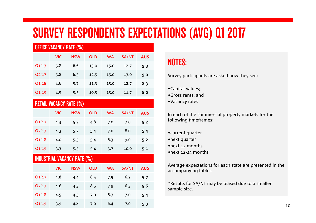# SURVEY RESPONDENTS EXPECTATIONS (AVG) Q1 2017

| <b>OFFICE VACANCY RATE (%)</b> |            |            |            |           |       |            |  |
|--------------------------------|------------|------------|------------|-----------|-------|------------|--|
|                                | <b>VIC</b> | <b>NSW</b> | <b>QLD</b> | <b>WA</b> | SA/NT | <b>AUS</b> |  |
| Q1'17                          | 5.8        | 6.6        | 13.0       | 15.0      | 12.7  | 9.3        |  |
| Q2'17                          | 5.8        | 6.3        | 12.5       | 15.0      | 13.0  | 9.0        |  |
| Q1'18                          | 4.6        | 5.7        | 11.3       | 15.0      | 12.7  | 8.3        |  |
| Q1'19                          | 4.5        | 5.5        | 10.5       | 15.0      | 11.7  | 8.0        |  |

| <b>RETAIL VACANCY RATE (%)</b> |  |  |
|--------------------------------|--|--|
|                                |  |  |
|                                |  |  |

|       | VIC. | <b>NSW</b> | <b>QLD</b> | <b>WA</b> | SA/NT | <b>AUS</b> |
|-------|------|------------|------------|-----------|-------|------------|
| Q1'17 | 4.3  | 5.7        | 4.8        | 7.0       | 7.0   | 5.2        |
| Q2'17 | 4.3  | 5.7        | 5.4        | 7.0       | 8.0   | 5.4        |
| Q1'18 | 4.0  | 5.5        | 5.4        | 6.3       | 9.0   | 5.2        |
| Q1'19 | 3.3  | 5.5        | 5.4        | 5.7       | 10.0  | 5.1        |

## INDUSTRIAL VACANCY RATE (%)

|       | VIC. | <b>NSW</b> | <b>QLD</b> | <b>WA</b> | SA/NT | <b>AUS</b> |
|-------|------|------------|------------|-----------|-------|------------|
| Q1'17 | 4.8  | 4.4        | 8.5        | 7.9       | 6.3   | 5.7        |
| Q2'17 | 4.6  | 4.3        | 8.5        | 7.9       | 6.3   | 5.6        |
| Q1'18 | 4.5  | 4.5        | 7.0        | 6.7       | 7.0   | 5.4        |
| Q1'19 | 3.9  | 4.8        | 7.0        | 6.4       | 7.0   | 5.3        |

## NOTES:

Survey participants are asked how they see:

- •Capital values;
- •Gross rents; and
- •Vacancy rates

In each of the commercial property markets for the following timeframes:

- •current quarter
- •next quarter
- •next 12 months
- •next 12-24 months

Average expectations for each state are presented in the accompanying tables.

\*Results for SA/NT may be biased due to a smaller sample size.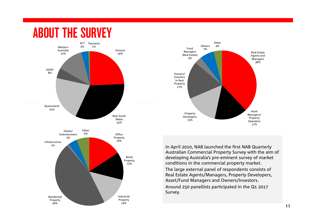# ABOUT THE SURVEY





In April 2010, NAB launched the first NAB Quarterly Australian Commercial Property Survey with the aim of developing Australia's pre-eminent survey of market conditions in the commercial property market.

The large external panel of respondents consists of Real Estate Agents/Managers, Property Developers, Asset/Fund Managers and Owners/Investors. Around 250 panellists participated in the Q1 2017 Survey.